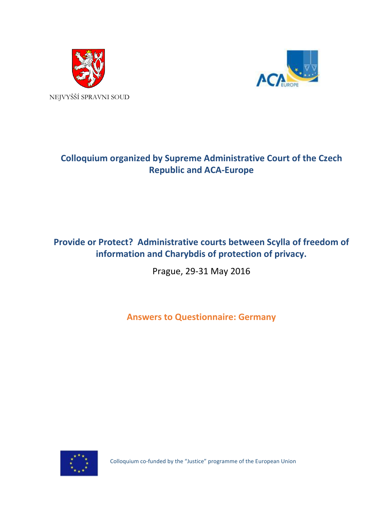



# **Colloquium organized by Supreme Administrative Court of the Czech Republic and ACA-Europe**

## **Provide or Protect? Administrative courts between Scylla of freedom of information and Charybdis of protection of privacy.**

Prague, 29-31 May 2016

**Answers to Questionnaire: Germany**



Colloquium co-funded by the "Justice" programme of the European Union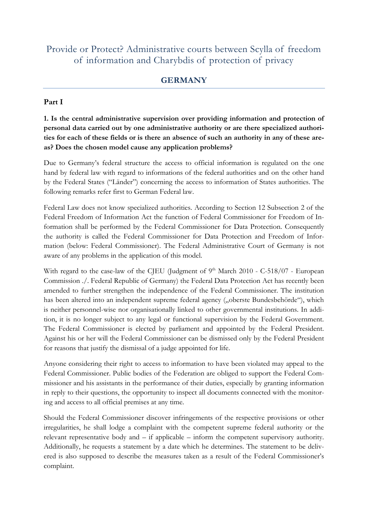## Provide or Protect? Administrative courts between Scylla of freedom of information and Charybdis of protection of privacy

### **GERMANY**

#### **Part I**

**1. Is the central administrative supervision over providing information and protection of personal data carried out by one administrative authority or are there specialized authorities for each of these fields or is there an absence of such an authority in any of these areas? Does the chosen model cause any application problems?**

Due to Germany's federal structure the access to official information is regulated on the one hand by federal law with regard to informations of the federal authorities and on the other hand by the Federal States ("Länder") concerning the access to information of States authorities. The following remarks refer first to German Federal law.

Federal Law does not know specialized authorities. According to Section 12 Subsection 2 of the Federal Freedom of Information Act the function of Federal Commissioner for Freedom of Information shall be performed by the Federal Commissioner for Data Protection. Consequently the authority is called the Federal Commissioner for Data Protection and Freedom of Information (below: Federal Commissioner). The Federal Administrative Court of Germany is not aware of any problems in the application of this model.

With regard to the case-law of the CJEU (Judgment of  $9<sup>th</sup>$  March 2010 - C-518/07 - European Commission ./. Federal Republic of Germany) the Federal Data Protection Act has recently been amended to further strengthen the independence of the Federal Commissioner. The institution has been altered into an independent supreme federal agency ("oberste Bundesbehörde"), which is neither personnel-wise nor organisationally linked to other governmental institutions. In addition, it is no longer subject to any legal or functional supervision by the Federal Government. The Federal Commissioner is elected by parliament and appointed by the Federal President. Against his or her will the Federal Commissioner can be dismissed only by the Federal President for reasons that justify the dismissal of a judge appointed for life.

Anyone considering their right to access to information to have been violated may appeal to the Federal Commissioner. Public bodies of the Federation are obliged to support the Federal Commissioner and his assistants in the performance of their duties, especially by granting information in reply to their questions, the opportunity to inspect all documents connected with the monitoring and access to all official premises at any time.

Should the Federal Commissioner discover infringements of the respective provisions or other irregularities, he shall lodge a complaint with the competent supreme federal authority or the relevant representative body and – if applicable – inform the competent supervisory authority. Additionally, he requests a statement by a date which he determines. The statement to be delivered is also supposed to describe the measures taken as a result of the Federal Commissioner's complaint.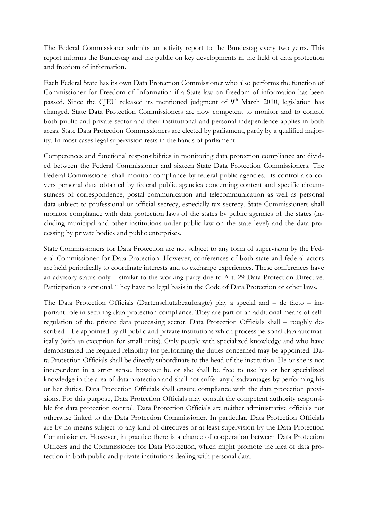The Federal Commissioner submits an activity report to the Bundestag every two years. This report informs the Bundestag and the public on key developments in the field of data protection and freedom of information.

Each Federal State has its own Data Protection Commissioner who also performs the function of Commissioner for Freedom of Information if a State law on freedom of information has been passed. Since the CJEU released its mentioned judgment of  $9<sup>th</sup>$  March 2010, legislation has changed. State Data Protection Commissioners are now competent to monitor and to control both public and private sector and their institutional and personal independence applies in both areas. State Data Protection Commissioners are elected by parliament, partly by a qualified majority. In most cases legal supervision rests in the hands of parliament.

Competences and functional responsibilities in monitoring data protection compliance are divided between the Federal Commissioner and sixteen State Data Protection Commissioners. The Federal Commissioner shall monitor compliance by federal public agencies. Its control also covers personal data obtained by federal public agencies concerning content and specific circumstances of correspondence, postal communication and telecommunication as well as personal data subject to professional or official secrecy, especially tax secrecy. State Commissioners shall monitor compliance with data protection laws of the states by public agencies of the states (including municipal and other institutions under public law on the state level) and the data processing by private bodies and public enterprises.

State Commissioners for Data Protection are not subject to any form of supervision by the Federal Commissioner for Data Protection. However, conferences of both state and federal actors are held periodically to coordinate interests and to exchange experiences. These conferences have an advisory status only – similar to the working party due to Art. 29 Data Protection Directive. Participation is optional. They have no legal basis in the Code of Data Protection or other laws.

The Data Protection Officials (Dartenschutzbeauftragte) play a special and – de facto – important role in securing data protection compliance. They are part of an additional means of selfregulation of the private data processing sector. Data Protection Officials shall – roughly described – be appointed by all public and private institutions which process personal data automatically (with an exception for small units). Only people with specialized knowledge and who have demonstrated the required reliability for performing the duties concerned may be appointed. Data Protection Officials shall be directly subordinate to the head of the institution. He or she is not independent in a strict sense, however he or she shall be free to use his or her specialized knowledge in the area of data protection and shall not suffer any disadvantages by performing his or her duties. Data Protection Officials shall ensure compliance with the data protection provisions. For this purpose, Data Protection Officials may consult the competent authority responsible for data protection control. Data Protection Officials are neither administrative officials nor otherwise linked to the Data Protection Commissioner. In particular, Data Protection Officials are by no means subject to any kind of directives or at least supervision by the Data Protection Commissioner. However, in practice there is a chance of cooperation between Data Protection Officers and the Commissioner for Data Protection, which might promote the idea of data protection in both public and private institutions dealing with personal data.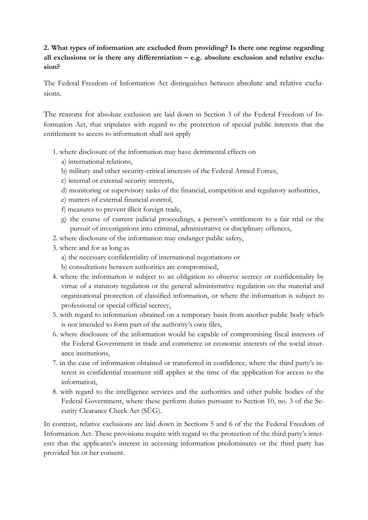## **2. What types of information are excluded from providing? Is there one regime regarding**  all exclusions or is there any differentiation – e.g. absolute exclusion and relative exclu**sion?**

The Federal Freedom of Information Act distinguishes between absolute and relative exclusions.

The reasons for absolute exclusion are laid down in Section 3 of the Federal Freedom of Information Act, that stipulates with regard to the protection of special public interests that the entitlement to access to information shall not apply

- 1. where disclosure of the information may have detrimental effects on
	- a) international relations,
	- b) military and other security-critical interests of the Federal Armed Forces,
	- c) internal or external security interests,
	- d) monitoring or supervisory tasks of the financial, competition and regulatory authorities,
	- e) matters of external financial control,
	- f) measures to prevent illicit foreign trade,
	- g) the course of current judicial proceedings, a person's entitlement to a fair trial or the pursuit of investigations into criminal, administrative or disciplinary offences,
- 2. where disclosure of the information may endanger public safety,
- 3. where and for as long as
	- a) the necessary confidentiality of international negotiations or
	- b) consultations between authorities are compromised,
- 4. where the information is subject to an obligation to observe secrecy or confidentiality by virtue of a statutory regulation or the general administrative regulation on the material and organisational protection of classified information, or where the information is subject to professional or special official secrecy,
- 5. with regard to information obtained on a temporary basis from another public body which is not intended to form part of the authority's own files,
- 6. where disclosure of the information would be capable of compromising fiscal interests of the Federal Government in trade and commerce or economic interests of the social insurance institutions,
- 7. in the case of information obtained or transferred in confidence, where the third party's interest in confidential treatment still applies at the time of the application for access to the information,
- 8. with regard to the intelligence services and the authorities and other public bodies of the Federal Government, where these perform duties pursuant to Section 10, no. 3 of the Security Clearance Check Act (SÜG).

In contrast, relative exclusions are laid down in Sections 5 and 6 of the the Federal Freedom of Information Act. These provisions require with regard to the protection of the third party's interests that the applicants's interest in accessing information predominates or the third party has provided his or her consent.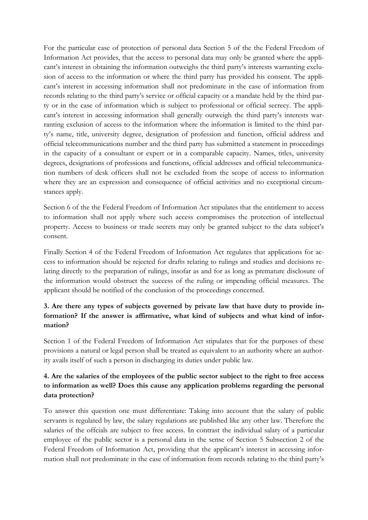For the particular case of protection of personal data Section 5 of the the Federal Freedom of Information Act provides, that the access to personal data may only be granted where the applicant's interest in obtaining the information outweighs the third party's interests warranting exclusion of access to the information or where the third party has provided his consent. The applicant's interest in accessing information shall not predominate in the case of information from records relating to the third party's service or official capacity or a mandate held by the third party or in the case of information which is subject to professional or official secrecy. The applicant's interest in accessing information shall generally outweigh the third party's interests warranting exclusion of access to the information where the information is limited to the third party's name, title, university degree, designation of profession and function, official address and official telecommunications number and the third party has submitted a statement in proceedings in the capacity of a consultant or expert or in a comparable capacity. Names, titles, university degrees, designations of professions and functions, official addresses and official telecommunication numbers of desk officers shall not be excluded from the scope of access to information where they are an expression and consequence of official activities and no exceptional circumstances apply.

Section 6 of the the Federal Freedom of Information Act stipulates that the entitlement to access to information shall not apply where such access compromises the protection of intellectual property. Access to business or trade secrets may only be granted subject to the data subject's consent.

Finally Section 4 of the Federal Freedom of Information Act regulates that applications for access to information should be rejected for drafts relating to rulings and studies and decisions relating directly to the preparation of rulings, insofar as and for as long as premature disclosure of the information would obstruct the success of the ruling or impending official measures. The applicant should be notified of the conclusion of the proceedings concerned.

### **3. Are there any types of subjects governed by private law that have duty to provide information? If the answer is affirmative, what kind of subjects and what kind of information?**

Section 1 of the Federal Freedom of Information Act stipulates that for the purposes of these provisions a natural or legal person shall be treated as equivalent to an authority where an authority avails itself of such a person in discharging its duties under public law.

#### **4. Are the salaries of the employees of the public sector subject to the right to free access to information as well? Does this cause any application problems regarding the personal data protection?**

To answer this question one must differentiate: Taking into account that the salary of public servants is regulated by law, the salary regulations are published like any other law. Therefore the salaries of the offcials are subject to free access. In contrast the individual salary of a particular employee of the public sector is a personal data in the sense of Section 5 Subsection 2 of the Federal Freedom of Information Act, providing that the applicant's interest in accessing information shall not predominate in the case of information from records relating to the third party's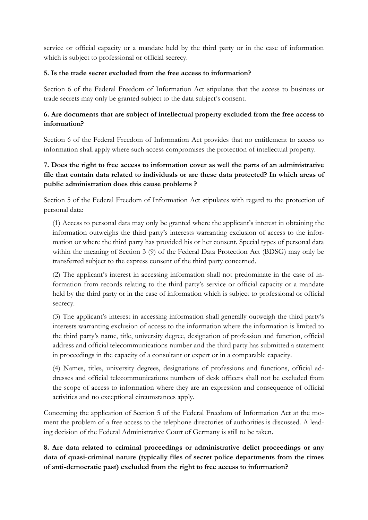service or official capacity or a mandate held by the third party or in the case of information which is subject to professional or official secrecy.

#### **5. Is the trade secret excluded from the free access to information?**

Section 6 of the Federal Freedom of Information Act stipulates that the access to business or trade secrets may only be granted subject to the data subject's consent.

#### **6. Are documents that are subject of intellectual property excluded from the free access to information?**

Section 6 of the Federal Freedom of Information Act provides that no entitlement to access to information shall apply where such access compromises the protection of intellectual property.

## **7. Does the right to free access to information cover as well the parts of an administrative file that contain data related to individuals or are these data protected? In which areas of public administration does this cause problems ?**

Section 5 of the Federal Freedom of Information Act stipulates with regard to the protection of personal data:

(1) Access to personal data may only be granted where the applicant's interest in obtaining the information outweighs the third party's interests warranting exclusion of access to the information or where the third party has provided his or her consent. Special types of personal data within the meaning of Section 3 (9) of the Federal Data Protection Act (BDSG) may only be transferred subject to the express consent of the third party concerned.

(2) The applicant's interest in accessing information shall not predominate in the case of information from records relating to the third party's service or official capacity or a mandate held by the third party or in the case of information which is subject to professional or official secrecy.

(3) The applicant's interest in accessing information shall generally outweigh the third party's interests warranting exclusion of access to the information where the information is limited to the third party's name, title, university degree, designation of profession and function, official address and official telecommunications number and the third party has submitted a statement in proceedings in the capacity of a consultant or expert or in a comparable capacity.

(4) Names, titles, university degrees, designations of professions and functions, official addresses and official telecommunications numbers of desk officers shall not be excluded from the scope of access to information where they are an expression and consequence of official activities and no exceptional circumstances apply.

Concerning the application of Section 5 of the Federal Freedom of Information Act at the moment the problem of a free access to the telephone directories of authorities is discussed. A leading decision of the Federal Administrative Court of Germany is still to be taken.

**8. Are data related to criminal proceedings or administrative delict proceedings or any data of quasi-criminal nature (typically files of secret police departments from the times of anti-democratic past) excluded from the right to free access to information?**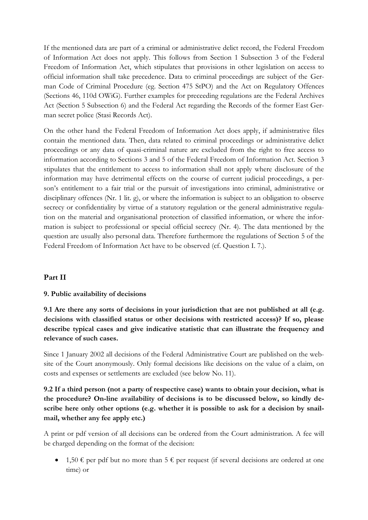If the mentioned data are part of a criminal or administrative delict record, the Federal Freedom of Information Act does not apply. This follows from Section 1 Subsection 3 of the Federal Freedom of Information Act, which stipulates that provisions in other legislation on access to official information shall take precedence. Data to criminal proceedings are subject of the German Code of Criminal Procedure (eg. Section 475 StPO) and the Act on Regulatory Offences (Sections 46, 110d OWiG). Further examples for preceeding regulations are the Federal Archives Act (Section 5 Subsection 6) and the Federal Act regarding the Records of the former East German secret police (Stasi Records Act).

On the other hand the Federal Freedom of Information Act does apply, if administrative files contain the mentioned data. Then, data related to criminal proceedings or administrative delict proceedings or any data of quasi-criminal nature are excluded from the right to free access to information according to Sections 3 and 5 of the Federal Freedom of Information Act. Section 3 stipulates that the entitlement to access to information shall not apply where disclosure of the information may have detrimental effects on the course of current judicial proceedings, a person's entitlement to a fair trial or the pursuit of investigations into criminal, administrative or disciplinary offences (Nr. 1 lit. g), or where the information is subject to an obligation to observe secrecy or confidentiality by virtue of a statutory regulation or the general administrative regulation on the material and organisational protection of classified information, or where the information is subject to professional or special official secrecy (Nr. 4). The data mentioned by the question are usually also personal data. Therefore furthermore the regulations of Section 5 of the Federal Freedom of Information Act have to be observed (cf. Question I. 7.).

### **Part II**

#### **9. Public availability of decisions**

**9.1 Are there any sorts of decisions in your jurisdiction that are not published at all (e.g. decisions with classified status or other decisions with restricted access)? If so, please describe typical cases and give indicative statistic that can illustrate the frequency and relevance of such cases.**

Since 1 January 2002 all decisions of the Federal Administrative Court are published on the website of the Court anonymously. Only formal decisions like decisions on the value of a claim, on costs and expenses or settlements are excluded (see below No. 11).

### **9.2 If a third person (not a party of respective case) wants to obtain your decision, what is the procedure? On-line availability of decisions is to be discussed below, so kindly describe here only other options (e.g. whether it is possible to ask for a decision by snailmail, whether any fee apply etc.)**

A print or pdf version of all decisions can be ordered from the Court administration. A fee will be charged depending on the format of the decision:

• 1,50  $\epsilon$  per pdf but no more than 5  $\epsilon$  per request (if several decisions are ordered at one time) or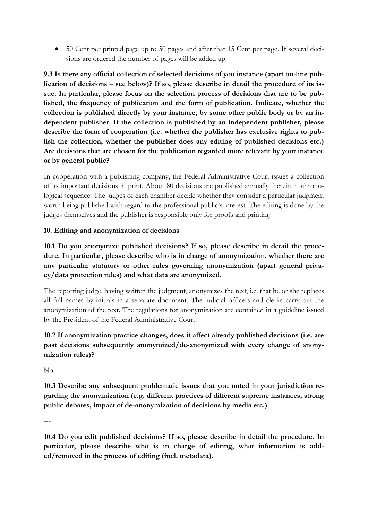50 Cent per printed page up to 50 pages and after that 15 Cent per page. If several decisions are ordered the number of pages will be added up.

**9.3 Is there any official collection of selected decisions of you instance (apart on-line publication of decisions – see below)? If so, please describe in detail the procedure of its issue. In particular, please focus on the selection process of decisions that are to be published, the frequency of publication and the form of publication. Indicate, whether the collection is published directly by your instance, by some other public body or by an independent publisher. If the collection is published by an independent publisher, please describe the form of cooperation (i.e. whether the publisher has exclusive rights to publish the collection, whether the publisher does any editing of published decisions etc.) Are decisions that are chosen for the publication regarded more relevant by your instance or by general public?**

In cooperation with a publishing company, the Federal Administrative Court issues a collection of its important decisions in print. About 80 decisions are published annually therein in chronological sequence. The judges of each chamber decide whether they consider a particular judgment worth being published with regard to the professional public's interest. The editing is done by the judges themselves and the publisher is responsible only for proofs and printing.

#### **10. Editing and anonymization of decisions**

**10.1 Do you anonymize published decisions? If so, please describe in detail the procedure. In particular, please describe who is in charge of anonymization, whether there are any particular statutory or other rules governing anonymization (apart general privacy/data protection rules) and what data are anonymized.**

The reporting judge, having written the judgment, anonymizes the text, i.e. that he or she replaces all full names by initials in a separate document. The judicial officers and clerks carry out the anonymization of the text. The regulations for anonymization are contained in a guideline issued by the President of the Federal Administrative Court.

## **10.2 If anonymization practice changes, does it affect already published decisions (i.e. are past decisions subsequently anonymized/de-anonymized with every change of anonymization rules)?**

 $N_{\Omega}$ 

**10.3 Describe any subsequent problematic issues that you noted in your jurisdiction regarding the anonymization (e.g. different practices of different supreme instances, strong public debates, impact of de-anonymization of decisions by media etc.)**

---

**10.4 Do you edit published decisions? If so, please describe in detail the procedure. In particular, please describe who is in charge of editing, what information is added/removed in the process of editing (incl. metadata).**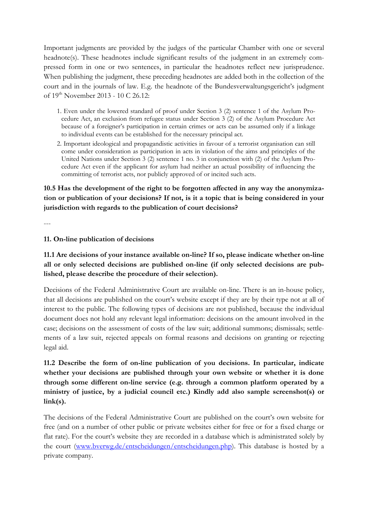Important judgments are provided by the judges of the particular Chamber with one or several headnote(s). These headnotes include significant results of the judgment in an extremely compressed form in one or two sentences, in particular the headnotes reflect new jurisprudence. When publishing the judgment, these preceding headnotes are added both in the collection of the court and in the journals of law. E.g. the headnote of the Bundesverwaltungsgericht's judgment of 19th November 2013 - 10 C 26.12:

- 1. Even under the lowered standard of proof under Section 3 (2) sentence 1 of the Asylum Procedure Act, an exclusion from refugee status under Section 3 (2) of the Asylum Procedure Act because of a foreigner's participation in certain crimes or acts can be assumed only if a linkage to individual events can be established for the necessary principal act.
- 2. Important ideological and propagandistic activities in favour of a terrorist organisation can still come under consideration as participation in acts in violation of the aims and principles of the United Nations under Section 3 (2) sentence 1 no. 3 in conjunction with (2) of the Asylum Procedure Act even if the applicant for asylum had neither an actual possibility of influencing the committing of terrorist acts, nor publicly approved of or incited such acts.

### **10.5 Has the development of the right to be forgotten affected in any way the anonymization or publication of your decisions? If not, is it a topic that is being considered in your jurisdiction with regards to the publication of court decisions?**

---

#### **11. On-line publication of decisions**

**11.1 Are decisions of your instance available on-line? If so, please indicate whether on-line all or only selected decisions are published on-line (if only selected decisions are published, please describe the procedure of their selection).**

Decisions of the Federal Administrative Court are available on-line. There is an in-house policy, that all decisions are published on the court's website except if they are by their type not at all of interest to the public. The following types of decisions are not published, because the individual document does not hold any relevant legal information: decisions on the amount involved in the case; decisions on the assessment of costs of the law suit; additional summons; dismissals; settlements of a law suit, rejected appeals on formal reasons and decisions on granting or rejecting legal aid.

**11.2 Describe the form of on-line publication of you decisions. In particular, indicate whether your decisions are published through your own website or whether it is done through some different on-line service (e.g. through a common platform operated by a ministry of justice, by a judicial council etc.) Kindly add also sample screenshot(s) or link(s).**

The decisions of the Federal Administrative Court are published on the court's own website for free (and on a number of other public or private websites either for free or for a fixed charge or flat rate). For the court's website they are recorded in a database which is administrated solely by the court [\(www.bverwg.de/entscheidungen/entscheidungen.php\)](http://www.bverwg.de/entscheidungen/entscheidungen.php). This database is hosted by a private company.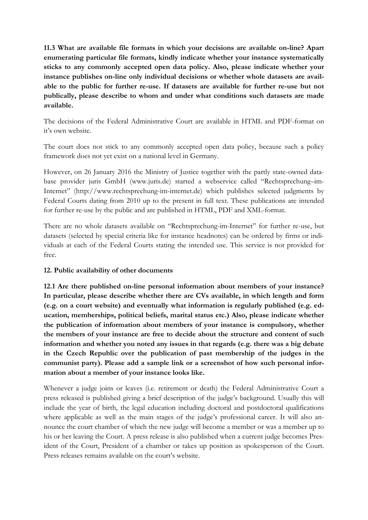**11.3 What are available file formats in which your decisions are available on-line? Apart enumerating particular file formats, kindly indicate whether your instance systematically sticks to any commonly accepted open data policy. Also, please indicate whether your instance publishes on-line only individual decisions or whether whole datasets are available to the public for further re-use. If datasets are available for further re-use but not publically, please describe to whom and under what conditions such datasets are made available.**

The decisions of the Federal Administrative Court are available in HTML and PDF-format on it's own website.

The court does not stick to any commonly accepted open data policy, because such a policy framework does not yet exist on a national level in Germany.

However, on 26 January 2016 the Ministry of Justice together with the partly state-owned database provider juris GmbH (www.juris.de) started a webservice called "Rechtsprechung–im-Internet" (http://www.rechtsprechung-im-internet.de) which publishes selected judgments by Federal Courts dating from 2010 up to the present in full text. These publications are intended for further re-use by the public and are published in HTML, PDF and XML-format.

There are no whole datasets available on "Rechtsprechung-im-Internet" for further re-use, but datasets (selected by special criteria like for instance headnotes) can be ordered by firms or individuals at each of the Federal Courts stating the intended use. This service is not provided for free.

#### **12. Public availability of other documents**

**12.1 Are there published on-line personal information about members of your instance? In particular, please describe whether there are CVs available, in which length and form (e.g. on a court website) and eventually what information is regularly published (e.g. education, memberships, political beliefs, marital status etc.) Also, please indicate whether the publication of information about members of your instance is compulsory, whether the members of your instance are free to decide about the structure and content of such information and whether you noted any issues in that regards (e.g. there was a big debate in the Czech Republic over the publication of past membership of the judges in the communist party). Please add a sample link or a screenshot of how such personal information about a member of your instance looks like.**

Whenever a judge joins or leaves (i.e. retirement or death) the Federal Administrative Court a press released is published giving a brief description of the judge's background. Usually this will include the year of birth, the legal education including doctoral and postdoctoral qualifications where applicable as well as the main stages of the judge's professional career. It will also announce the court chamber of which the new judge will become a member or was a member up to his or her leaving the Court. A press release is also published when a current judge becomes President of the Court, President of a chamber or takes up position as spokesperson of the Court. Press releases remains available on the court's website.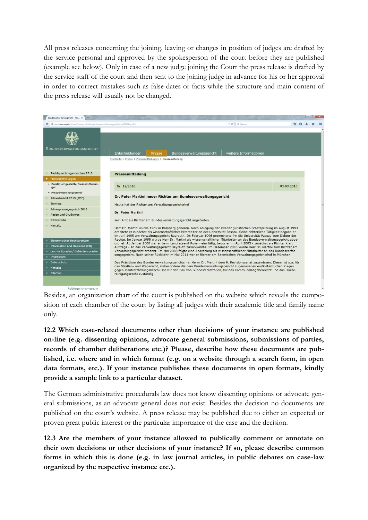All press releases concerning the joining, leaving or changes in position of judges are drafted by the service personal and approved by the spokesperson of the court before they are published (example see below). Only in case of a new judge joining the Court the press release is drafted by the service staff of the court and then sent to the joining judge in advance for his or her approval in order to correct mistakes such as false dates or facts while the structure and main content of the press release will usually not be changed.



Besides, an organization chart of the court is published on the website which reveals the composition of each chamber of the court by listing all judges with their academic title and family name only.

**12.2 Which case-related documents other than decisions of your instance are published on-line (e.g. dissenting opinions, advocate general submissions, submissions of parties, records of chamber deliberations etc.)? Please, describe how these documents are published, i.e. where and in which format (e.g. on a website through a search form, in open data formats, etc.). If your instance publishes these documents in open formats, kindly provide a sample link to a particular dataset.**

The German administrative procedurals law does not know dissenting opinions or advocate general submissions, as an advocate general does not exist. Besides the decision no documents are published on the court's website. A press release may be published due to either an expected or proven great public interest or the particular importance of the case and the decision.

**12.3 Are the members of your instance allowed to publically comment or annotate on their own decisions or other decisions of your instance? If so, please describe common forms in which this is done (e.g. in law journal articles, in public debates on case-law organized by the respective instance etc.).**